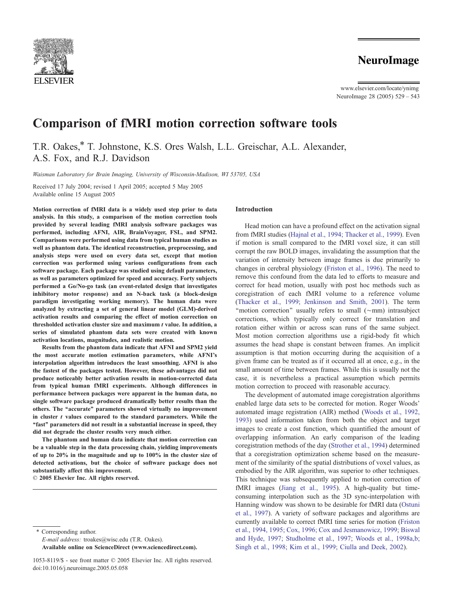

# **NeuroImage**

www.elsevier.com/locate/ynimg NeuroImage 28 (2005) 529 – 543

# Comparison of fMRI motion correction software tools

T.R. Oakes,\* T. Johnstone, K.S. Ores Walsh, L.L. Greischar, A.L. Alexander, A.S. Fox, and R.J. Davidson

Waisman Laboratory for Brain Imaging, University of Wisconsin-Madison, WI 53705, USA

Received 17 July 2004; revised 1 April 2005; accepted 5 May 2005 Available online 15 August 2005

Motion correction of fMRI data is a widely used step prior to data analysis. In this study, a comparison of the motion correction tools provided by several leading fMRI analysis software packages was performed, including AFNI, AIR, BrainVoyager, FSL, and SPM2. Comparisons were performed using data from typical human studies as well as phantom data. The identical reconstruction, preprocessing, and analysis steps were used on every data set, except that motion correction was performed using various configurations from each software package. Each package was studied using default parameters, as well as parameters optimized for speed and accuracy. Forty subjects performed a Go/No-go task (an event-related design that investigates inhibitory motor response) and an N-back task (a block-design paradigm investigating working memory). The human data were analyzed by extracting a set of general linear model (GLM)-derived activation results and comparing the effect of motion correction on thresholded activation cluster size and maximum  $t$  value. In addition, a series of simulated phantom data sets were created with known activation locations, magnitudes, and realistic motion.

Results from the phantom data indicate that AFNI and SPM2 yield the most accurate motion estimation parameters, while AFNI's interpolation algorithm introduces the least smoothing. AFNI is also the fastest of the packages tested. However, these advantages did not produce noticeably better activation results in motion-corrected data from typical human fMRI experiments. Although differences in performance between packages were apparent in the human data, no single software package produced dramatically better results than the others. The "accurate" parameters showed virtually no improvement in cluster  $t$  values compared to the standard parameters. While the "fast" parameters did not result in a substantial increase in speed, they did not degrade the cluster results very much either.

The phantom and human data indicate that motion correction can be a valuable step in the data processing chain, yielding improvements of up to 20% in the magnitude and up to 100% in the cluster size of detected activations, but the choice of software package does not substantially affect this improvement.  $© 2005 Elsevier Inc. All rights reserved.$ 

\* Corresponding author.

E-mail address: troakes@wisc.edu (T.R. Oakes). Available online on ScienceDirect ([www.sciencedirect.com](http://www.sciencedirect.com)).

## Introduction

Head motion can have a profound effect on the activation signal from fMRI studies ([Hajnal et al., 1994; Thacker et al., 1999\)](#page-13-0). Even if motion is small compared to the fMRI voxel size, it can still corrupt the raw BOLD images, invalidating the assumption that the variation of intensity between image frames is due primarily to changes in cerebral physiology ([Friston et al., 1996\)](#page-13-0). The need to remove this confound from the data led to efforts to measure and correct for head motion, usually with post hoc methods such as coregistration of each fMRI volume to a reference volume ([Thacker et al., 1999; Jenkinson and Smith, 2001\)](#page-14-0). The term "motion correction" usually refers to small  $(\sim$ mm) intrasubject corrections, which typically only correct for translation and rotation either within or across scan runs of the same subject. Most motion correction algorithms use a rigid-body fit which assumes the head shape is constant between frames. An implicit assumption is that motion occurring during the acquisition of a given frame can be treated as if it occurred all at once, e.g., in the small amount of time between frames. While this is usually not the case, it is nevertheless a practical assumption which permits motion correction to proceed with reasonable accuracy.

The development of automated image coregistration algorithms enabled large data sets to be corrected for motion. Roger Woods' automated image registration (AIR) method ([Woods et al., 1992,](#page-14-0) 1993) used information taken from both the object and target images to create a cost function, which quantified the amount of overlapping information. An early comparison of the leading coregistration methods of the day ([Strother et al., 1994\)](#page-13-0) determined that a coregistration optimization scheme based on the measurement of the similarity of the spatial distributions of voxel values, as embodied by the AIR algorithm, was superior to other techniques. This technique was subsequently applied to motion correction of fMRI images ([Jiang et al., 1995\)](#page-13-0). A high-quality but timeconsuming interpolation such as the 3D sync-interpolation with Hanning window was shown to be desirable for fMRI data ([Ostuni](#page-13-0) et al., 1997). A variety of software packages and algorithms are currently available to correct fMRI time series for motion ([Friston](#page-13-0) et al., 1994, 1995; Cox, 1996; Cox and Jesmanowicz, 1999; Biswal and Hyde, 1997; Studholme et al., 1997; Woods et al., 1998a,b; Singh et al., 1998; Kim et al., 1999; Ciulla and Deek, 2002).

<sup>1053-8119/\$ -</sup> see front matter © 2005 Elsevier Inc. All rights reserved. doi:10.1016/j.neuroimage.2005.05.058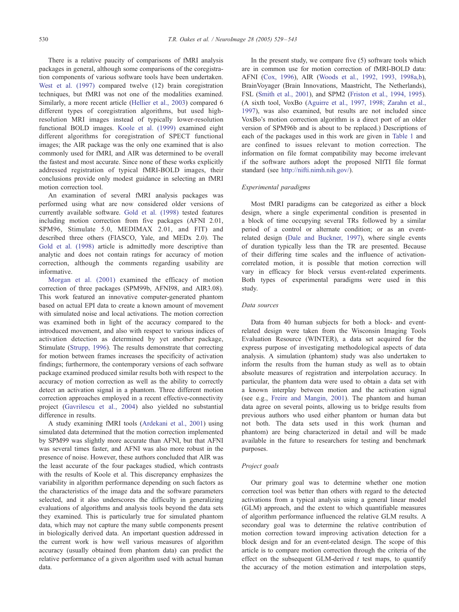There is a relative paucity of comparisons of fMRI analysis packages in general, although some comparisons of the coregistration components of various software tools have been undertaken. [West et al. \(1997\)](#page-14-0) compared twelve (12) brain coregistration techniques, but fMRI was not one of the modalities examined. Similarly, a more recent article ([Hellier et al., 2003\)](#page-13-0) compared 6 different types of coregistration algorithms, but used highresolution MRI images instead of typically lower-resolution functional BOLD images. [Koole et al. \(1999\)](#page-13-0) examined eight different algorithms for coregistration of SPECT functional images; the AIR package was the only one examined that is also commonly used for fMRI, and AIR was determined to be overall the fastest and most accurate. Since none of these works explicitly addressed registration of typical fMRI-BOLD images, their conclusions provide only modest guidance in selecting an fMRI motion correction tool.

An examination of several fMRI analysis packages was performed using what are now considered older versions of currently available software. [Gold et al. \(1998\)](#page-13-0) tested features including motion correction from five packages (AFNI 2.01, SPM96, Stimulate 5.0, MEDIMAX 2.01, and FIT) and described three others (FIASCO, Yale, and MEDx 2.0). The [Gold et al. \(1998\)](#page-13-0) article is admittedly more descriptive than analytic and does not contain ratings for accuracy of motion correction, although the comments regarding usability are informative.

[Morgan et al. \(2001\)](#page-13-0) examined the efficacy of motion correction of three packages (SPM99b, AFNI98, and AIR3.08). This work featured an innovative computer-generated phantom based on actual EPI data to create a known amount of movement with simulated noise and local activations. The motion correction was examined both in light of the accuracy compared to the introduced movement, and also with respect to various indices of activation detection as determined by yet another package, Stimulate ([Strupp, 1996\)](#page-13-0). The results demonstrate that correcting for motion between frames increases the specificity of activation findings; furthermore, the contemporary versions of each software package examined produced similar results both with respect to the accuracy of motion correction as well as the ability to correctly detect an activation signal in a phantom. Three different motion correction approaches employed in a recent effective-connectivity project [\(Gavrilescu et al., 2004\)](#page-13-0) also yielded no substantial difference in results.

A study examining fMRI tools ([Ardekani et al., 2001\)](#page-13-0) using simulated data determined that the motion correction implemented by SPM99 was slightly more accurate than AFNI, but that AFNI was several times faster, and AFNI was also more robust in the presence of noise. However, these authors concluded that AIR was the least accurate of the four packages studied, which contrasts with the results of Koole et al. This discrepancy emphasizes the variability in algorithm performance depending on such factors as the characteristics of the image data and the software parameters selected, and it also underscores the difficulty in generalizing evaluations of algorithms and analysis tools beyond the data sets they examined. This is particularly true for simulated phantom data, which may not capture the many subtle components present in biologically derived data. An important question addressed in the current work is how well various measures of algorithm accuracy (usually obtained from phantom data) can predict the relative performance of a given algorithm used with actual human data.

In the present study, we compare five (5) software tools which are in common use for motion correction of fMRI-BOLD data: AFNI ([Cox, 1996\)](#page-13-0), AIR ([Woods et al., 1992, 1993, 1998a,b\)](#page-14-0), BrainVoyager (Brain Innovations, Maastricht, The Netherlands), FSL ([Smith et al., 2001\)](#page-13-0), and SPM2 ([Friston et al., 1994, 1995\)](#page-13-0). (A sixth tool, VoxBo ([Aguirre et al., 1997, 1998; Zarahn et al.,](#page-13-0) 1997), was also examined, but results are not included since VoxBo's motion correction algorithm is a direct port of an older version of SPM96b and is about to be replaced.) Descriptions of each of the packages used in this work are given in [Table 1](#page-2-0) and are confined to issues relevant to motion correction. The information on file format compatibility may become irrelevant if the software authors adopt the proposed NIfTI file format standard (see [http://nifti.nimh.nih.gov/\)]( http:\\www.nifti.nimh.nih.gov ).

## Experimental paradigms

Most fMRI paradigms can be categorized as either a block design, where a single experimental condition is presented in a block of time occupying several TRs followed by a similar period of a control or alternate condition; or as an eventrelated design ([Dale and Buckner, 1997\)](#page-13-0), where single events of duration typically less than the TR are presented. Because of their differing time scales and the influence of activationcorrelated motion, it is possible that motion correction will vary in efficacy for block versus event-related experiments. Both types of experimental paradigms were used in this study.

#### Data sources

Data from 40 human subjects for both a block- and eventrelated design were taken from the Wisconsin Imaging Tools Evaluation Resource (WINTER), a data set acquired for the express purpose of investigating methodological aspects of data analysis. A simulation (phantom) study was also undertaken to inform the results from the human study as well as to obtain absolute measures of registration and interpolation accuracy. In particular, the phantom data were used to obtain a data set with a known interplay between motion and the activation signal (see e.g., [Freire and Mangin, 2001\)](#page-13-0). The phantom and human data agree on several points, allowing us to bridge results from previous authors who used either phantom or human data but not both. The data sets used in this work (human and phantom) are being characterized in detail and will be made available in the future to researchers for testing and benchmark purposes.

#### Project goals

Our primary goal was to determine whether one motion correction tool was better than others with regard to the detected activations from a typical analysis using a general linear model (GLM) approach, and the extent to which quantifiable measures of algorithm performance influenced the relative GLM results. A secondary goal was to determine the relative contribution of motion correction toward improving activation detection for a block design and for an event-related design. The scope of this article is to compare motion correction through the criteria of the effect on the subsequent GLM-derived  $t$  test maps, to quantify the accuracy of the motion estimation and interpolation steps,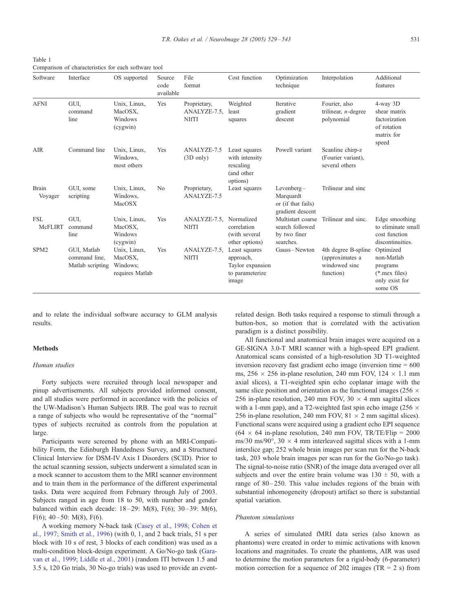<span id="page-2-0"></span>

| Table 1 |                                                      |  |  |
|---------|------------------------------------------------------|--|--|
|         | Comparison of characteristics for each software tool |  |  |

| Software              | Interface                                        | OS supported                                           | Source<br>code<br>available | File<br>format                               | Cost function                                                              | Optimization<br>technique                                         | Interpolation                                                        | Additional<br>features                                                               |
|-----------------------|--------------------------------------------------|--------------------------------------------------------|-----------------------------|----------------------------------------------|----------------------------------------------------------------------------|-------------------------------------------------------------------|----------------------------------------------------------------------|--------------------------------------------------------------------------------------|
| <b>AFNI</b>           | GUI,<br>command<br>line                          | Unix, Linux,<br>MacOSX,<br>Windows<br>(cygwin)         | Yes                         | Proprietary,<br>ANALYZE-7.5.<br><b>NIfTI</b> | Weighted<br>least<br>squares                                               | Iterative<br>gradient<br>descent                                  | Fourier, also<br>trilinear, $n$ -degree<br>polynomial                | 4-way 3D<br>shear matrix<br>factorization<br>of rotation<br>matrix for<br>speed      |
| <b>AIR</b>            | Command line                                     | Unix, Linux,<br>Windows,<br>most others                | Yes                         | ANALYZE-7.5<br>$(3D \text{ only})$           | Least squares<br>with intensity<br>rescaling<br>(and other<br>options)     | Powell variant                                                    | Scanline chirp-z<br>(Fourier variant),<br>several others             |                                                                                      |
| Brain<br>Voyager      | GUI, some<br>scripting                           | Unix, Linux,<br>Windows,<br>MacOSX                     | No                          | Proprietary,<br>ANALYZE-7.5                  | Least squares                                                              | Levenberg-<br>Marquardt<br>or (if that fails)<br>gradient descent | Trilinear and sinc                                                   |                                                                                      |
| <b>FSL</b><br>McFLIRT | GUI,<br>command<br>line                          | Unix, Linux,<br>MacOSX,<br>Windows<br>(cvgwin)         | Yes                         | ANALYZE-7.5.<br><b>NIfTI</b>                 | Normalized<br>correlation<br>(with several<br>other options)               | Multistart coarse<br>search followed<br>by two finer<br>searches. | Trilinear and sinc.                                                  | Edge smoothing<br>to eliminate small<br>cost function<br>discontinuities.            |
| SPM <sub>2</sub>      | GUI, Matlab<br>command line,<br>Matlab scripting | Unix, Linux,<br>MacOSX,<br>Windows:<br>requires Matlab | Yes                         | ANALYZE-7.5,<br><b>NIfTI</b>                 | Least squares<br>approach,<br>Taylor expansion<br>to parameterize<br>image | Gauss-Newton                                                      | 4th degree B-spline<br>(approximates a<br>windowed sinc<br>function) | Optimized<br>non-Matlab<br>programs<br>$(*.$ mex files)<br>only exist for<br>some OS |

and to relate the individual software accuracy to GLM analysis results.

#### Methods

#### Human studies

Forty subjects were recruited through local newspaper and pinup advertisements. All subjects provided informed consent, and all studies were performed in accordance with the policies of the UW-Madison's Human Subjects IRB. The goal was to recruit a range of subjects who would be representative of the ''normal'' types of subjects recruited as controls from the population at large.

Participants were screened by phone with an MRI-Compatibility Form, the Edinburgh Handedness Survey, and a Structured Clinical Interview for DSM-IV Axis I Disorders (SCID). Prior to the actual scanning session, subjects underwent a simulated scan in a mock scanner to accustom them to the MRI scanner environment and to train them in the performance of the different experimental tasks. Data were acquired from February through July of 2003. Subjects ranged in age from 18 to 50, with number and gender balanced within each decade:  $18-29$ : M(8), F(6); 30-39: M(6), F(6);  $40-50$ : M(8), F(6).

A working memory N-back task ([Casey et al., 1998; Cohen et](#page-13-0) al., 1997; Smith et al., 1996) (with 0, 1, and 2 back trials, 51 s per block with 10 s of rest, 3 blocks of each condition) was used as a multi-condition block-design experiment. A Go/No-go task ([Gara](#page-13-0)van et al., 1999; Liddle et al., 2001) (random ITI between 1.5 and 3.5 s, 120 Go trials, 30 No-go trials) was used to provide an eventrelated design. Both tasks required a response to stimuli through a button-box, so motion that is correlated with the activation paradigm is a distinct possibility.

All functional and anatomical brain images were acquired on a GE-SIGNA 3.0-T MRI scanner with a high-speed EPI gradient. Anatomical scans consisted of a high-resolution 3D T1-weighted inversion recovery fast gradient echo image (inversion time = 600 ms,  $256 \times 256$  in-plane resolution, 240 mm FOV,  $124 \times 1.1$  mm axial slices), a T1-weighted spin echo coplanar image with the same slice position and orientation as the functional images (256  $\times$ 256 in-plane resolution, 240 mm FOV, 30  $\times$  4 mm sagittal slices with a 1-mm gap), and a T2-weighted fast spin echo image (256  $\times$ 256 in-plane resolution, 240 mm FOV, 81  $\times$  2 mm sagittal slices). Functional scans were acquired using a gradient echo EPI sequence  $(64 \times 64 \text{ in-plane resolution}, 240 \text{ mm} \text{ FOV}, \text{T} \text{R} / \text{T} \text{E} / \text{F} \text{lip} = 2000 \text{ m}$ ms/30 ms/90 $^{\circ}$ , 30  $\times$  4 mm interleaved sagittal slices with a 1-mm interslice gap; 252 whole brain images per scan run for the N-back task, 203 whole brain images per scan run for the Go/No-go task). The signal-to-noise ratio (SNR) of the image data averaged over all subjects and over the entire brain volume was  $130 \pm 50$ , with a range of  $80 - 250$ . This value includes regions of the brain with substantial inhomogeneity (dropout) artifact so there is substantial spatial variation.

#### Phantom simulations

A series of simulated fMRI data series (also known as phantoms) were created in order to mimic activations with known locations and magnitudes. To create the phantoms, AIR was used to determine the motion parameters for a rigid-body (6-parameter) motion correction for a sequence of 202 images (TR = 2 s) from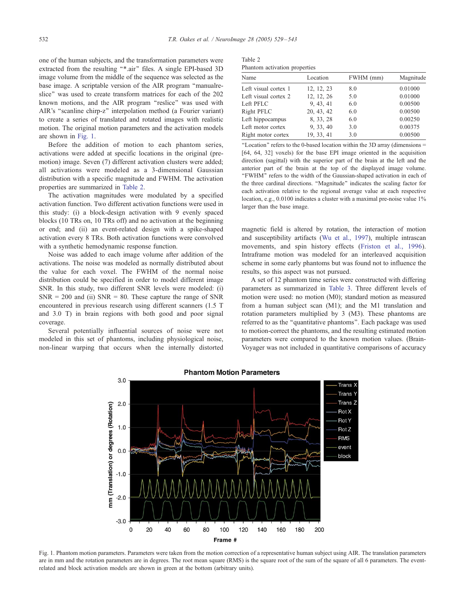one of the human subjects, and the transformation parameters were extracted from the resulting "\*.air" files. A single EPI-based 3D image volume from the middle of the sequence was selected as the base image. A scriptable version of the AIR program ''manualreslice'' was used to create transform matrices for each of the 202 known motions, and the AIR program "reslice" was used with AIR's "scanline chirp-z" interpolation method (a Fourier variant) to create a series of translated and rotated images with realistic motion. The original motion parameters and the activation models are shown in Fig. 1.

Before the addition of motion to each phantom series, activations were added at specific locations in the original (premotion) image. Seven (7) different activation clusters were added; all activations were modeled as a 3-dimensional Gaussian distribution with a specific magnitude and FWHM. The activation properties are summarized in Table 2.

The activation magnitudes were modulated by a specified activation function. Two different activation functions were used in this study: (i) a block-design activation with 9 evenly spaced blocks (10 TRs on, 10 TRs off) and no activation at the beginning or end; and (ii) an event-related design with a spike-shaped activation every 8 TRs. Both activation functions were convolved with a synthetic hemodynamic response function.

Noise was added to each image volume after addition of the activations. The noise was modeled as normally distributed about the value for each voxel. The FWHM of the normal noise distribution could be specified in order to model different image SNR. In this study, two different SNR levels were modeled: (i)  $SNR = 200$  and (ii)  $SNR = 80$ . These capture the range of SNR encountered in previous research using different scanners (1.5 T and 3.0 T) in brain regions with both good and poor signal coverage.

Several potentially influential sources of noise were not modeled in this set of phantoms, including physiological noise, non-linear warping that occurs when the internally distorted

Table 2 Phantom activation properties

| Name                 | Location   | FWHM (mm) | Magnitude |
|----------------------|------------|-----------|-----------|
| Left visual cortex 1 | 12, 12, 23 | 8.0       | 0.01000   |
| Left visual cortex 2 | 12, 12, 26 | 5.0       | 0.01000   |
| Left PFLC            | 9, 43, 41  | 6.0       | 0.00500   |
| Right PFLC           | 20, 43, 42 | 6.0       | 0.00500   |
| Left hippocampus     | 8, 33, 28  | 6.0       | 0.00250   |
| Left motor cortex    | 9, 33, 40  | 3.0       | 0.00375   |
| Right motor cortex   | 19, 33, 41 | 3.0       | 0.00500   |
|                      |            |           |           |

"Location" refers to the 0-based location within the 3D array (dimensions  $=$ [64, 64, 32] voxels) for the base EPI image oriented in the acquisition direction (sagittal) with the superior part of the brain at the left and the anterior part of the brain at the top of the displayed image volume. ''FWHM'' refers to the width of the Gaussian-shaped activation in each of the three cardinal directions. ''Magnitude'' indicates the scaling factor for each activation relative to the regional average value at each respective location, e.g., 0.0100 indicates a cluster with a maximal pre-noise value 1% larger than the base image.

magnetic field is altered by rotation, the interaction of motion and susceptibility artifacts ([Wu et al., 1997\)](#page-14-0), multiple intrascan movements, and spin history effects ([Friston et al., 1996\)](#page-13-0). Intraframe motion was modeled for an interleaved acquisition scheme in some early phantoms but was found not to influence the results, so this aspect was not pursued.

A set of 12 phantom time series were constructed with differing parameters as summarized in [Table 3.](#page-4-0) Three different levels of motion were used: no motion (M0); standard motion as measured from a human subject scan (M1); and the M1 translation and rotation parameters multiplied by 3 (M3). These phantoms are referred to as the ''quantitative phantoms''. Each package was used to motion-correct the phantoms, and the resulting estimated motion parameters were compared to the known motion values. (Brain-Voyager was not included in quantitative comparisons of accuracy



Fig. 1. Phantom motion parameters. Parameters were taken from the motion correction of a representative human subject using AIR. The translation parameters are in mm and the rotation parameters are in degrees. The root mean square (RMS) is the square root of the sum of the square of all 6 parameters. The eventrelated and block activation models are shown in green at the bottom (arbitrary units).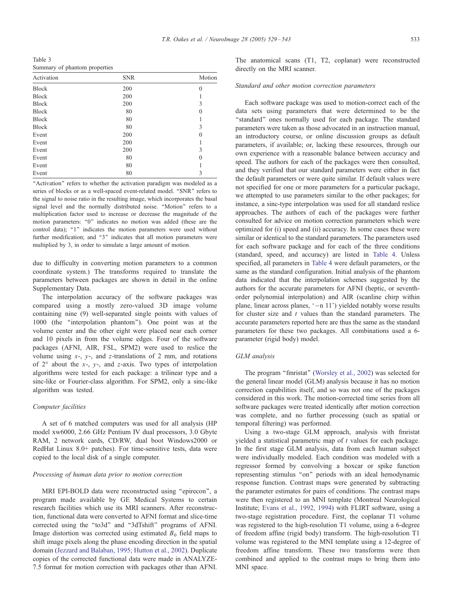<span id="page-4-0"></span>Table 3 Summary of phantom properties

| Activation   | <b>SNR</b> | Motion       |
|--------------|------------|--------------|
| <b>Block</b> | 200        | $\theta$     |
| <b>Block</b> | 200        | 1            |
| <b>Block</b> | 200        | 3            |
| <b>Block</b> | 80         | $\mathbf{0}$ |
| <b>Block</b> | 80         | 1            |
| <b>Block</b> | 80         | 3            |
| Event        | 200        | $\mathbf{0}$ |
| Event        | 200        |              |
| Event        | 200        | 3            |
| Event        | 80         | $\theta$     |
| Event        | 80         |              |
| Event        | 80         | 3            |

''Activation'' refers to whether the activation paradigm was modeled as a series of blocks or as a well-spaced event-related model. "SNR" refers to the signal to noise ratio in the resulting image, which incorporates the basal signal level and the normally distributed noise. ''Motion'' refers to a multiplication factor used to increase or decrease the magnitude of the motion parameters: "0" indicates no motion was added (these are the control data); "1" indicates the motion parameters were used without further modification; and "3" indicates that all motion parameters were multiplied by 3, in order to simulate a large amount of motion.

due to difficulty in converting motion parameters to a common coordinate system.) The transforms required to translate the parameters between packages are shown in detail in the online Supplementary Data.

The interpolation accuracy of the software packages was compared using a mostly zero-valued 3D image volume containing nine (9) well-separated single points with values of 1000 (the ''interpolation phantom''). One point was at the volume center and the other eight were placed near each corner and 10 pixels in from the volume edges. Four of the software packages (AFNI, AIR, FSL, SPM2) were used to reslice the volume using  $x$ -,  $y$ -, and  $z$ -translations of 2 mm, and rotations of  $2^{\circ}$  about the x-, y-, and z-axis. Two types of interpolation algorithms were tested for each package: a trilinear type and a sinc-like or Fourier-class algorithm. For SPM2, only a sinc-like algorithm was tested.

## Computer facilities

A set of 6 matched computers was used for all analysis (HP model xw6000, 2.66 GHz Pentium IV dual processors, 3.0 Gbyte RAM, 2 network cards, CD/RW, dual boot Windows2000 or RedHat Linux 8.0+ patches). For time-sensitive tests, data were copied to the local disk of a single computer.

#### Processing of human data prior to motion correction

MRI EPI-BOLD data were reconstructed using ''epirecon'', a program made available by GE Medical Systems to certain research facilities which use its MRI scanners. After reconstruction, functional data were converted to AFNI format and slice-time corrected using the ''to3d'' and ''3dTshift'' programs of AFNI. Image distortion was corrected using estimated  $B_0$  field maps to shift image pixels along the phase encoding direction in the spatial domain ([Jezzard and Balaban, 1995; Hutton et al., 2002\)](#page-13-0). Duplicate copies of the corrected functional data were made in ANALYZE-7.5 format for motion correction with packages other than AFNI.

The anatomical scans (T1, T2, coplanar) were reconstructed directly on the MRI scanner.

# Standard and other motion correction parameters

Each software package was used to motion-correct each of the data sets using parameters that were determined to be the "standard" ones normally used for each package. The standard parameters were taken as those advocated in an instruction manual, an introductory course, or online discussion groups as default parameters, if available; or, lacking these resources, through our own experience with a reasonable balance between accuracy and speed. The authors for each of the packages were then consulted, and they verified that our standard parameters were either in fact the default parameters or were quite similar. If default values were not specified for one or more parameters for a particular package, we attempted to use parameters similar to the other packages; for instance, a sinc-type interpolation was used for all standard reslice approaches. The authors of each of the packages were further consulted for advice on motion correction parameters which were optimized for (i) speed and (ii) accuracy. In some cases these were similar or identical to the standard parameters. The parameters used for each software package and for each of the three conditions (standard, speed, and accuracy) are listed in [Table 4.](#page-5-0) Unless specified, all parameters in [Table 4](#page-5-0) were default parameters, or the same as the standard configuration. Initial analysis of the phantom data indicated that the interpolation schemes suggested by the authors for the accurate parameters for AFNI (heptic, or seventhorder polynomial interpolation) and AIR (scanline chirp within plane, linear across planes, '-n 11') yielded notably worse results for cluster size and  $t$  values than the standard parameters. The accurate parameters reported here are thus the same as the standard parameters for these two packages. All combinations used a 6 parameter (rigid body) model.

## GLM analysis

The program "fmristat" ([Worsley et al., 2002\)](#page-14-0) was selected for the general linear model (GLM) analysis because it has no motion correction capabilities itself, and so was not one of the packages considered in this work. The motion-corrected time series from all software packages were treated identically after motion correction was complete, and no further processing (such as spatial or temporal filtering) was performed.

Using a two-stage GLM approach, analysis with fmristat yielded a statistical parametric map of t values for each package. In the first stage GLM analysis, data from each human subject were individually modeled. Each condition was modeled with a regressor formed by convolving a boxcar or spike function representing stimulus ''on'' periods with an ideal hemodynamic response function. Contrast maps were generated by subtracting the parameter estimates for pairs of conditions. The contrast maps were then registered to an MNI template (Montreal Neurological Institute; [Evans et al., 1992, 1994\)](#page-13-0) with FLIRT software, using a two-stage registration procedure. First, the coplanar T1 volume was registered to the high-resolution T1 volume, using a 6-degree of freedom affine (rigid body) transform. The high-resolution T1 volume was registered to the MNI template using a 12-degree of freedom affine transform. These two transforms were then combined and applied to the contrast maps to bring them into MNI space.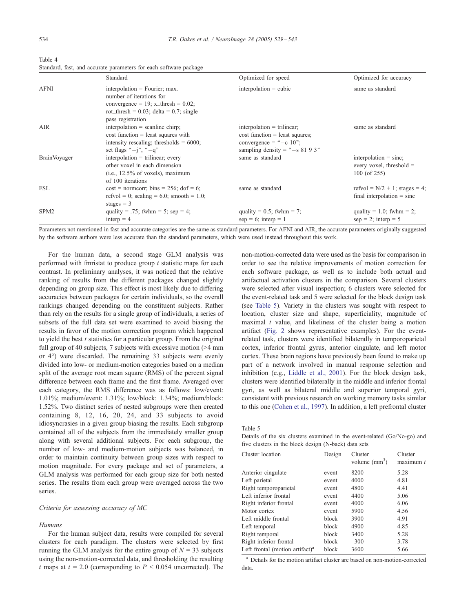<span id="page-5-0"></span>Table 4

|                     | Standard                                                                                                                                                                  | Optimized for speed                                                                                                                | Optimized for accuracy                                                  |
|---------------------|---------------------------------------------------------------------------------------------------------------------------------------------------------------------------|------------------------------------------------------------------------------------------------------------------------------------|-------------------------------------------------------------------------|
| AFNI                | $interpolation = Fourier; max.$<br>number of iterations for<br>convergence = 19; x_thresh = $0.02$ ;<br>rot_thresh = $0.03$ ; delta = $0.7$ ; single<br>pass registration | $interpolation = cubic$                                                                                                            | same as standard                                                        |
| <b>AIR</b>          | $interpolation = scaling chirp;$<br>$cost$ function = least squares with<br>intensity rescaling; thresholds = $6000$ ;<br>set flags " $-i$ ", " $-q$ "                    | $interpolation = trilinear;$<br>$cost$ function = least squares;<br>convergence = " $-c$ 10";<br>sampling density = " $-s$ 81 9 3" | same as standard                                                        |
| <b>BrainVoyager</b> | $interpolation = trilinear$ ; every<br>other voxel in each dimension<br>$(i.e., 12.5\%$ of voxels), maximum<br>of 100 iterations                                          | same as standard                                                                                                                   | $interpolation = sinc;$<br>every voxel, threshold $=$<br>$100$ (of 255) |
| <b>FSL</b>          | $cost = normcorr$ ; bins = 256; dof = 6;<br>refvol = 0; scaling = 6.0; smooth = 1.0;<br>stages $=$ 3                                                                      | same as standard                                                                                                                   | $refvol = N/2 + 1$ ; stages = 4;<br>final interpolation $=$ sinc        |
| SPM <sub>2</sub>    | quality = .75; fwhm = 5; sep = 4;<br>interp $=$ 4                                                                                                                         | quality = $0.5$ ; fwhm = 7;<br>$sep = 6$ ; interp = 1                                                                              | quality = 1.0; fwhm = 2;<br>$sep = 2$ ; interp = 5                      |

Parameters not mentioned in fast and accurate categories are the same as standard parameters. For AFNI and AIR, the accurate parameters originally suggested by the software authors were less accurate than the standard parameters, which were used instead throughout this work.

For the human data, a second stage GLM analysis was performed with fmristat to produce group  $t$  statistic maps for each contrast. In preliminary analyses, it was noticed that the relative ranking of results from the different packages changed slightly depending on group size. This effect is most likely due to differing accuracies between packages for certain individuals, so the overall rankings changed depending on the constituent subjects. Rather than rely on the results for a single group of individuals, a series of subsets of the full data set were examined to avoid biasing the results in favor of the motion correction program which happened to yield the best  $t$  statistics for a particular group. From the original full group of 40 subjects, 7 subjects with excessive motion (>4 mm or  $4^{\circ}$ ) were discarded. The remaining 33 subjects were evenly divided into low- or medium-motion categories based on a median split of the average root mean square (RMS) of the percent signal difference between each frame and the first frame. Averaged over each category, the RMS difference was as follows: low/event: 1.01%; medium/event: 1.31%; low/block: 1.34%; medium/block: 1.52%. Two distinct series of nested subgroups were then created containing 8, 12, 16, 20, 24, and 33 subjects to avoid idiosyncrasies in a given group biasing the results. Each subgroup contained all of the subjects from the immediately smaller group along with several additional subjects. For each subgroup, the number of low- and medium-motion subjects was balanced, in order to maintain continuity between group sizes with respect to motion magnitude. For every package and set of parameters, a GLM analysis was performed for each group size for both nested series. The results from each group were averaged across the two series.

Standard, fast, and accurate parameters for each software package

#### Criteria for assessing accuracy of MC

# Humans

For the human subject data, results were compiled for several clusters for each paradigm. The clusters were selected by first running the GLM analysis for the entire group of  $N = 33$  subjects using the non-motion-corrected data, and thresholding the resulting t maps at  $t = 2.0$  (corresponding to  $P \le 0.054$  uncorrected). The non-motion-corrected data were used as the basis for comparison in order to see the relative improvements of motion correction for each software package, as well as to include both actual and artifactual activation clusters in the comparison. Several clusters were selected after visual inspection; 6 clusters were selected for the event-related task and 5 were selected for the block design task (see Table 5). Variety in the clusters was sought with respect to location, cluster size and shape, superficiality, magnitude of maximal  $t$  value, and likeliness of the cluster being a motion artifact ([Fig. 2](#page-6-0) shows representative examples). For the eventrelated task, clusters were identified bilaterally in temporoparietal cortex, inferior frontal gyrus, anterior cingulate, and left motor cortex. These brain regions have previously been found to make up part of a network involved in manual response selection and inhibition (e.g., [Liddle et al., 2001\)](#page-13-0). For the block design task, clusters were identified bilaterally in the middle and inferior frontal gyri, as well as bilateral middle and superior temporal gyri, consistent with previous research on working memory tasks similar to this one ([Cohen et al., 1997\)](#page-13-0). In addition, a left prefrontal cluster

Table 5

Details of the six clusters examined in the event-related (Go/No-go) and five clusters in the block design (N-back) data sets

| Cluster location                            | Design | Cluster<br>volume $(mm3)$ | Cluster<br>maximum t |
|---------------------------------------------|--------|---------------------------|----------------------|
| Anterior cingulate                          | event  | 8200                      | 5.28                 |
| Left parietal                               | event  | 4000                      | 4.81                 |
| Right temporoparietal                       | event  | 4800                      | 4.41                 |
| Left inferior frontal                       | event  | 4400                      | 5.06                 |
| Right inferior frontal                      | event  | 4000                      | 6.06                 |
| Motor cortex                                | event  | 5900                      | 4.56                 |
| Left middle frontal                         | block  | 3900                      | 4.91                 |
| Left temporal                               | block  | 4900                      | 4.85                 |
| Right temporal                              | block  | 3400                      | 5.28                 |
| Right inferior frontal                      | block  | 300                       | 3.78                 |
| Left frontal (motion artifact) <sup>a</sup> | block  | 3600                      | 5.66                 |

<sup>a</sup> Details for the motion artifact cluster are based on non-motion-corrected data.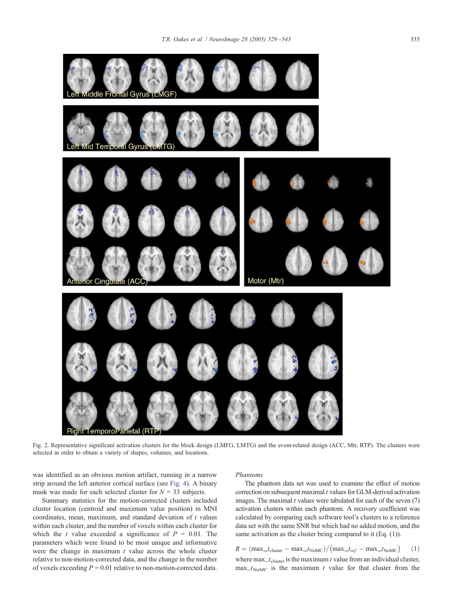<span id="page-6-0"></span>

Fig. 2. Representative significant activation clusters for the block design (LMFG, LMTG) and the event-related design (ACC, Mtr, RTP). The clusters were selected in order to obtain a variety of shapes, volumes, and locations.

was identified as an obvious motion artifact, running in a narrow strip around the left anterior cortical surface (see [Fig. 4\)](#page-8-0). A binary mask was made for each selected cluster for  $N = 33$  subjects.

Summary statistics for the motion-corrected clusters included cluster location (centroid and maximum value position) in MNI coordinates, mean, maximum, and standard deviation of  $t$  values within each cluster, and the number of voxels within each cluster for which the t value exceeded a significance of  $P = 0.01$ . The parameters which were found to be most unique and informative were the change in maximum  $t$  value across the whole cluster relative to non-motion-corrected data, and the change in the number of voxels exceeding  $P = 0.01$  relative to non-motion-corrected data.

#### Phantoms

The phantom data set was used to examine the effect of motion correction on subsequent maximal  $t$  values for GLM-derived activation images. The maximal  $t$  values were tabulated for each of the seven  $(7)$ activation clusters within each phantom. A recovery coefficient was calculated by comparing each software tool's clusters to a reference data set with the same SNR but which had no added motion, and the same activation as the cluster being compared to it (Eq. (1)).

 $R = (\max \_{t_{cluster}} - \max \_{t_{NoMC}})/(\max \_{t_{ref}} - \max \_{t_{NoMC}})$  $(1)$ where  $\max_{t_{\text{cluster}}}$  is the maximum t value from an individual cluster,  $max_t_{\text{NowC}}$  is the maximum t value for that cluster from the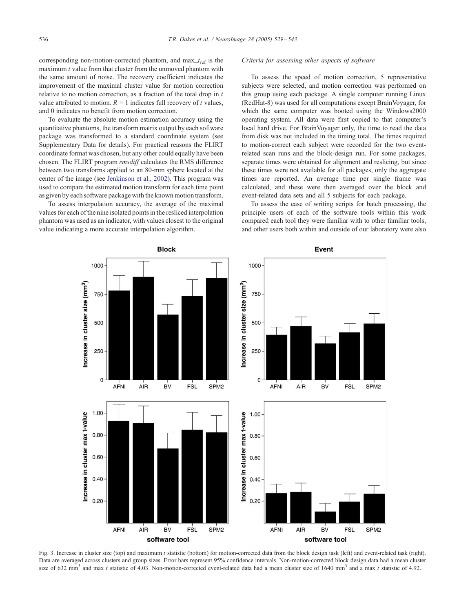<span id="page-7-0"></span>corresponding non-motion-corrected phantom, and  $\max_{t_{ref}}$  is the maximum  $t$  value from that cluster from the unmoved phantom with the same amount of noise. The recovery coefficient indicates the improvement of the maximal cluster value for motion correction relative to no motion correction, as a fraction of the total drop in  $t$ value attributed to motion.  $R = 1$  indicates full recovery of t values, and 0 indicates no benefit from motion correction.

To evaluate the absolute motion estimation accuracy using the quantitative phantoms, the transform matrix output by each software package was transformed to a standard coordinate system (see Supplementary Data for details). For practical reasons the FLIRT coordinate format was chosen, but any other could equally have been chosen. The FLIRT program rmsdiff calculates the RMS difference between two transforms applied to an 80-mm sphere located at the center of the image (see [Jenkinson et al., 2002\)](#page-13-0). This program was used to compare the estimated motion transform for each time point as given by each software package with the known motion transform.

To assess interpolation accuracy, the average of the maximal values for each of the nine isolated points in the resliced interpolation phantom was used as an indicator, with values closest to the original value indicating a more accurate interpolation algorithm.

#### Criteria for assessing other aspects of software

To assess the speed of motion correction, 5 representative subjects were selected, and motion correction was performed on this group using each package. A single computer running Linux (RedHat-8) was used for all computations except BrainVoyager, for which the same computer was booted using the Windows2000 operating system. All data were first copied to that computer's local hard drive. For BrainVoyager only, the time to read the data from disk was not included in the timing total. The times required to motion-correct each subject were recorded for the two eventrelated scan runs and the block-design run. For some packages, separate times were obtained for alignment and reslicing, but since these times were not available for all packages, only the aggregate times are reported. An average time per single frame was calculated, and these were then averaged over the block and event-related data sets and all 5 subjects for each package.

To assess the ease of writing scripts for batch processing, the principle users of each of the software tools within this work compared each tool they were familiar with to other familiar tools, and other users both within and outside of our laboratory were also



Fig. 3. Increase in cluster size (top) and maximum t statistic (bottom) for motion-corrected data from the block design task (left) and event-related task (right). Data are averaged across clusters and group sizes. Error bars represent 95% confidence intervals. Non-motion-corrected block design data had a mean cluster size of 632 mm<sup>3</sup> and max t statistic of 4.03. Non-motion-corrected event-related data had a mean cluster size of 1640 mm<sup>3</sup> and a max t statistic of 4.92.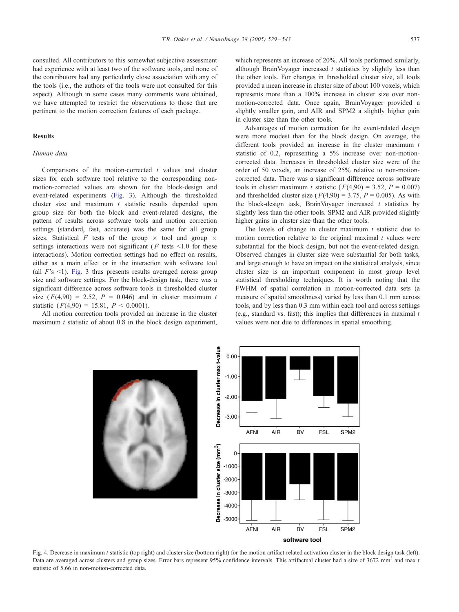<span id="page-8-0"></span>consulted. All contributors to this somewhat subjective assessment had experience with at least two of the software tools, and none of the contributors had any particularly close association with any of the tools (i.e., the authors of the tools were not consulted for this aspect). Although in some cases many comments were obtained, we have attempted to restrict the observations to those that are pertinent to the motion correction features of each package.

## **Results**

## Human data

Comparisons of the motion-corrected  $t$  values and cluster sizes for each software tool relative to the corresponding nonmotion-corrected values are shown for the block-design and event-related experiments ([Fig. 3\)](#page-7-0). Although the thresholded cluster size and maximum  $t$  statistic results depended upon group size for both the block and event-related designs, the pattern of results across software tools and motion correction settings (standard, fast, accurate) was the same for all group sizes. Statistical F tests of the group  $\times$  tool and group  $\times$ settings interactions were not significant ( $F$  tests <1.0 for these interactions). Motion correction settings had no effect on results, either as a main effect or in the interaction with software tool (all  $F$ 's  $\leq$ 1). [Fig. 3](#page-7-0) thus presents results averaged across group size and software settings. For the block-design task, there was a significant difference across software tools in thresholded cluster size  $(F(4,90) = 2.52, P = 0.046)$  and in cluster maximum t statistic  $(F(4.90) = 15.81, P \le 0.0001)$ .

All motion correction tools provided an increase in the cluster maximum  $t$  statistic of about 0.8 in the block design experiment,

which represents an increase of 20%. All tools performed similarly, although BrainVoyager increased  $t$  statistics by slightly less than the other tools. For changes in thresholded cluster size, all tools provided a mean increase in cluster size of about 100 voxels, which represents more than a 100% increase in cluster size over nonmotion-corrected data. Once again, BrainVoyager provided a slightly smaller gain, and AIR and SPM2 a slightly higher gain in cluster size than the other tools.

Advantages of motion correction for the event-related design were more modest than for the block design. On average, the different tools provided an increase in the cluster maximum  $t$ statistic of 0.2, representing a 5% increase over non-motioncorrected data. Increases in thresholded cluster size were of the order of 50 voxels, an increase of 25% relative to non-motioncorrected data. There was a significant difference across software tools in cluster maximum t statistic  $(F(4,90) = 3.52, P = 0.007)$ and thresholded cluster size ( $F(4,90) = 3.75$ ,  $P = 0.005$ ). As with the block-design task, BrainVoyager increased  $t$  statistics by slightly less than the other tools. SPM2 and AIR provided slightly higher gains in cluster size than the other tools.

The levels of change in cluster maximum  $t$  statistic due to motion correction relative to the original maximal  $t$  values were substantial for the block design, but not the event-related design. Observed changes in cluster size were substantial for both tasks, and large enough to have an impact on the statistical analysis, since cluster size is an important component in most group level statistical thresholding techniques. It is worth noting that the FWHM of spatial correlation in motion-corrected data sets (a measure of spatial smoothness) varied by less than 0.1 mm across tools, and by less than 0.3 mm within each tool and across settings (e.g., standard vs. fast); this implies that differences in maximal  $t$ values were not due to differences in spatial smoothing.



Fig. 4. Decrease in maximum t statistic (top right) and cluster size (bottom right) for the motion artifact-related activation cluster in the block design task (left). Data are averaged across clusters and group sizes. Error bars represent 95% confidence intervals. This artifactual cluster had a size of 3672 mm<sup>3</sup> and max t statistic of 5.66 in non-motion-corrected data.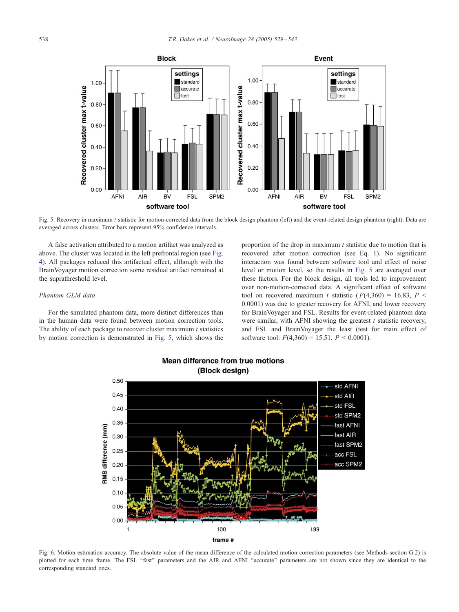<span id="page-9-0"></span>

Fig. 5. Recovery in maximum t statistic for motion-corrected data from the block design phantom (left) and the event-related design phantom (right). Data are averaged across clusters. Error bars represent 95% confidence intervals.

A false activation attributed to a motion artifact was analyzed as above. The cluster was located in the left prefrontal region (see [Fig.](#page-8-0) 4). All packages reduced this artifactual effect, although with the BrainVoyager motion correction some residual artifact remained at the suprathreshold level.

#### Phantom GLM data

For the simulated phantom data, more distinct differences than in the human data were found between motion correction tools. The ability of each package to recover cluster maximum  $t$  statistics by motion correction is demonstrated in Fig. 5, which shows the proportion of the drop in maximum  $t$  statistic due to motion that is recovered after motion correction (see Eq. 1). No significant interaction was found between software tool and effect of noise level or motion level, so the results in Fig. 5 are averaged over these factors. For the block design, all tools led to improvement over non-motion-corrected data. A significant effect of software tool on recovered maximum t statistic  $(F(4,360) = 16.83, P <$ 0.0001) was due to greater recovery for AFNI, and lower recovery for BrainVoyager and FSL. Results for event-related phantom data were similar, with AFNI showing the greatest  $t$  statistic recovery, and FSL and BrainVoyager the least (test for main effect of software tool:  $F(4,360) = 15.51, P \le 0.0001$ .



# Mean difference from true motions (Block design)

Fig. 6. Motion estimation accuracy. The absolute value of the mean difference of the calculated motion correction parameters (see Methods section G.2) is plotted for each time frame. The FSL "fast" parameters and the AIR and AFNI "accurate" parameters are not shown since they are identical to the corresponding standard ones.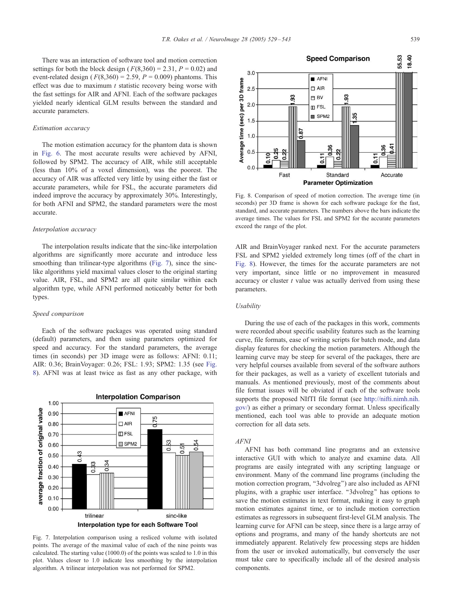<span id="page-10-0"></span>There was an interaction of software tool and motion correction settings for both the block design ( $F(8,360) = 2.31$ ,  $P = 0.02$ ) and event-related design ( $F(8,360) = 2.59$ ,  $P = 0.009$ ) phantoms. This effect was due to maximum  $t$  statistic recovery being worse with the fast settings for AIR and AFNI. Each of the software packages yielded nearly identical GLM results between the standard and accurate parameters.

#### Estimation accuracy

The motion estimation accuracy for the phantom data is shown in [Fig. 6.](#page-9-0) The most accurate results were achieved by AFNI, followed by SPM2. The accuracy of AIR, while still acceptable (less than 10% of a voxel dimension), was the poorest. The accuracy of AIR was affected very little by using either the fast or accurate parameters, while for FSL, the accurate parameters did indeed improve the accuracy by approximately 30%. Interestingly, for both AFNI and SPM2, the standard parameters were the most accurate.

#### Interpolation accuracy

The interpolation results indicate that the sinc-like interpolation algorithms are significantly more accurate and introduce less smoothing than trilinear-type algorithms (Fig. 7), since the sinclike algorithms yield maximal values closer to the original starting value. AIR, FSL, and SPM2 are all quite similar within each algorithm type, while AFNI performed noticeably better for both types.

#### Speed comparison

Each of the software packages was operated using standard (default) parameters, and then using parameters optimized for speed and accuracy. For the standard parameters, the average times (in seconds) per 3D image were as follows: AFNI: 0.11; AIR: 0.36; BrainVoyager: 0.26; FSL: 1.93; SPM2: 1.35 (see Fig. 8). AFNI was at least twice as fast as any other package, with



Fig. 7. Interpolation comparison using a resliced volume with isolated points. The average of the maximal value of each of the nine points was calculated. The starting value (1000.0) of the points was scaled to 1.0 in this plot. Values closer to 1.0 indicate less smoothing by the interpolation algorithm. A trilinear interpolation was not performed for SPM2.



Fig. 8. Comparison of speed of motion correction. The average time (in seconds) per 3D frame is shown for each software package for the fast, standard, and accurate parameters. The numbers above the bars indicate the average times. The values for FSL and SPM2 for the accurate parameters exceed the range of the plot.

AIR and BrainVoyager ranked next. For the accurate parameters FSL and SPM2 yielded extremely long times (off of the chart in Fig. 8). However, the times for the accurate parameters are not very important, since little or no improvement in measured accuracy or cluster  $t$  value was actually derived from using these parameters.

## Usability

During the use of each of the packages in this work, comments were recorded about specific usability features such as the learning curve, file formats, ease of writing scripts for batch mode, and data display features for checking the motion parameters. Although the learning curve may be steep for several of the packages, there are very helpful courses available from several of the software authors for their packages, as well as a variety of excellent tutorials and manuals. As mentioned previously, most of the comments about file format issues will be obviated if each of the software tools supports the proposed NIfTI file format (see [http://nifti.nimh.nih.]( http:\\www.nifti.nimh.nih.gov ) gov/) as either a primary or secondary format. Unless specifically mentioned, each tool was able to provide an adequate motion correction for all data sets.

#### AFNI

AFNI has both command line programs and an extensive interactive GUI with which to analyze and examine data. All programs are easily integrated with any scripting language or environment. Many of the command line programs (including the motion correction program, ''3dvolreg'') are also included as AFNI plugins, with a graphic user interface. ''3dvolreg'' has options to save the motion estimates in text format, making it easy to graph motion estimates against time, or to include motion correction estimates as regressors in subsequent first-level GLM analysis. The learning curve for AFNI can be steep, since there is a large array of options and programs, and many of the handy shortcuts are not immediately apparent. Relatively few processing steps are hidden from the user or invoked automatically, but conversely the user must take care to specifically include all of the desired analysis components.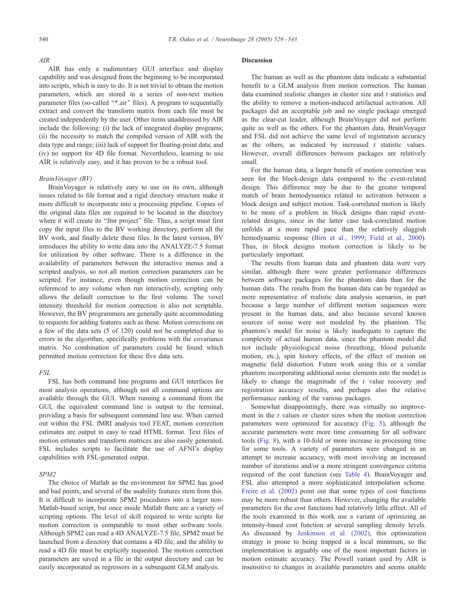## AIR

AIR has only a rudimentary GUI interface and display capability and was designed from the beginning to be incorporated into scripts, which is easy to do. It is not trivial to obtain the motion parameters, which are stored in a series of non-text motion parameter files (so-called "\*.air" files). A program to sequentially extract and convert the transform matrix from each file must be created independently by the user. Other items unaddressed by AIR include the following: (i) the lack of integrated display programs; (ii) the necessity to match the compiled version of AIR with the data type and range; (iii) lack of support for floating-point data; and (iv) no support for 4D file format. Nevertheless, learning to use AIR is relatively easy, and it has proven to be a robust tool.

#### BrainVoyager (BV)

BrainVoyager is relatively easy to use on its own, although issues related to file format and a rigid directory structure make it more difficult to incorporate into a processing pipeline. Copies of the original data files are required to be located in the directory where it will create its "fmr project" file. Thus, a script must first copy the input files to the BV working directory, perform all the BV work, and finally delete these files. In the latest version, BV introduces the ability to write data into the ANALYZE-7.5 format for utilization by other software. There is a difference in the availability of parameters between the interactive menus and a scripted analysis, so not all motion correction parameters can be scripted. For instance, even though motion correction can be referenced to any volume when run interactively, scripting only allows the default correction to the first volume. The voxel intensity threshold for motion correction is also not scriptable. However, the BV programmers are generally quite accommodating to requests for adding features such as these. Motion corrections on a few of the data sets (5 of 120) could not be completed due to errors in the algorithm, specifically problems with the covariance matrix. No combination of parameters could be found which permitted motion correction for these five data sets.

#### FSL

FSL has both command line programs and GUI interfaces for most analysis operations, although not all command options are available through the GUI. When running a command from the GUI, the equivalent command line is output to the terminal, providing a basis for subsequent command line use. When carried out within the FSL fMRI analysis tool FEAT, motion correction estimates are output in easy to read HTML format. Text files of motion estimates and transform matrices are also easily generated. FSL includes scripts to facilitate the use of AFNI's display capabilities with FSL-generated output.

#### SPM2

The choice of Matlab as the environment for SPM2 has good and bad points, and several of the usability features stem from this. It is difficult to incorporate SPM2 procedures into a larger non-Matlab-based script, but once inside Matlab there are a variety of scripting options. The level of skill required to write scripts for motion correction is comparable to most other software tools. Although SPM2 can read a 4D ANALYZE-7.5 file, SPM2 must be launched from a directory that contains a 4D file, and the ability to read a 4D file must be explicitly requested. The motion correction parameters are saved in a file in the output directory and can be easily incorporated as regressors in a subsequent GLM analysis.

## Discussion

The human as well as the phantom data indicate a substantial benefit to a GLM analysis from motion correction. The human data examined realistic changes in cluster size and  $t$  statistics and the ability to remove a motion-induced artifactual activation. All packages did an acceptable job and no single package emerged as the clear-cut leader, although BrainVoyager did not perform quite as well as the others. For the phantom data, BrainVoyager and FSL did not achieve the same level of registration accuracy as the others, as indicated by increased  $t$  statistic values. However, overall differences between packages are relatively small.

For the human data, a larger benefit of motion correction was seen for the block-design data compared to the event-related design. This difference may be due to the greater temporal match of brain hemodynamics related to activation between a block design and subject motion. Task-correlated motion is likely to be more of a problem in block designs than rapid eventrelated designs, since in the latter case task-correlated motion unfolds at a more rapid pace than the relatively sluggish hemodynamic response ([Birn et al., 1999; Field et al., 2000\)](#page-13-0). Thus, in block designs motion correction is likely to be particularly important.

The results from human data and phantom data were very similar, although there were greater performance differences between software packages for the phantom data than for the human data. The results from the human data can be regarded as more representative of realistic data analysis scenarios, in part because a large number of different motion sequences were present in the human data, and also because several known sources of noise were not modeled by the phantom. The phantom's model for noise is likely inadequate to capture the complexity of actual human data, since the phantom model did not include physiological noise (breathing, blood pulsatile motion, etc.), spin history effects, of the effect of motion on magnetic field distortion. Future work using this or a similar phantom incorporating additional noise elements into the model is likely to change the magnitude of the  $t$  value recovery and registration accuracy results, and perhaps also the relative performance ranking of the various packages.

Somewhat disappointingly, there was virtually no improvement in the  $t$  values or cluster sizes when the motion correction parameters were optimized for accuracy ([Fig. 5\)](#page-9-0), although the accurate parameters were more time consuming for all software tools ([Fig. 8\)](#page-10-0), with a 10-fold or more increase in processing time for some tools. A variety of parameters were changed in an attempt to increase accuracy, with most involving an increased number of iterations and/or a more stringent convergence criteria required of the cost function (see [Table 4\)](#page-5-0). BrainVoyager and FSL also attempted a more sophisticated interpolation scheme. [Freire et al. \(2002\)](#page-13-0) point out that some types of cost functions may be more robust than others. However, changing the available parameters for the cost functions had relatively little effect. All of the tools examined in this work use a variant of optimizing an intensity-based cost function at several sampling density levels. As discussed by [Jenkinson et al. \(2002\),](#page-13-0) this optimization strategy is prone to being trapped in a local minimum, so the implementation is arguably one of the most important factors in motion estimate accuracy. The Powell variant used by AIR is insensitive to changes in available parameters and seems unable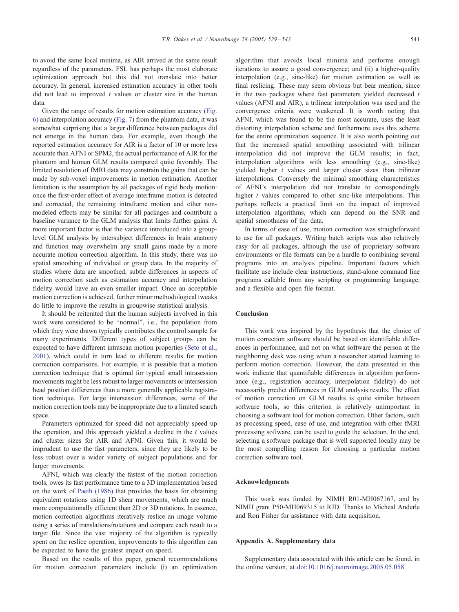to avoid the same local minima, as AIR arrived at the same result regardless of the parameters. FSL has perhaps the most elaborate optimization approach but this did not translate into better accuracy. In general, increased estimation accuracy in other tools did not lead to improved  $t$  values or cluster size in the human data.

Given the range of results for motion estimation accuracy ([Fig.](#page-9-0) 6) and interpolation accuracy ([Fig. 7\)](#page-10-0) from the phantom data, it was somewhat surprising that a larger difference between packages did not emerge in the human data. For example, even though the reported estimation accuracy for AIR is a factor of 10 or more less accurate than AFNI or SPM2, the actual performance of AIR for the phantom and human GLM results compared quite favorably. The limited resolution of fMRI data may constrain the gains that can be made by sub-voxel improvements in motion estimation. Another limitation is the assumption by all packages of rigid body motion: once the first-order effect of average interframe motion is detected and corrected, the remaining intraframe motion and other nonmodeled effects may be similar for all packages and contribute a baseline variance to the GLM analysis that limits further gains. A more important factor is that the variance introduced into a grouplevel GLM analysis by intersubject differences in brain anatomy and function may overwhelm any small gains made by a more accurate motion correction algorithm. In this study, there was no spatial smoothing of individual or group data. In the majority of studies where data are smoothed, subtle differences in aspects of motion correction such as estimation accuracy and interpolation fidelity would have an even smaller impact. Once an acceptable motion correction is achieved, further minor methodological tweaks do little to improve the results in groupwise statistical analysis.

It should be reiterated that the human subjects involved in this work were considered to be ''normal'', i.e., the population from which they were drawn typically contributes the control sample for many experiments. Different types of subject groups can be expected to have different intrascan motion properties ([Seto et al.,](#page-13-0) 2001), which could in turn lead to different results for motion correction comparisons. For example, it is possible that a motion correction technique that is optimal for typical small intrasession movements might be less robust to larger movements or intersession head position differences than a more generally applicable registration technique. For large intersession differences, some of the motion correction tools may be inappropriate due to a limited search space.

Parameters optimized for speed did not appreciably speed up the operation, and this approach yielded a decline in the  $t$  values and cluster sizes for AIR and AFNI. Given this, it would be imprudent to use the fast parameters, since they are likely to be less robust over a wider variety of subject populations and for larger movements.

AFNI, which was clearly the fastest of the motion correction tools, owes its fast performance time to a 3D implementation based on the work of [Paeth \(1986\)](#page-13-0) that provides the basis for obtaining equivalent rotations using 1D shear movements, which are much more computationally efficient than 2D or 3D rotations. In essence, motion correction algorithms iteratively reslice an image volume using a series of translations/rotations and compare each result to a target file. Since the vast majority of the algorithm is typically spent on the reslice operation, improvements to this algorithm can be expected to have the greatest impact on speed.

Based on the results of this paper, general recommendations for motion correction parameters include (i) an optimization algorithm that avoids local minima and performs enough iterations to assure a good convergence; and (ii) a higher-quality interpolation (e.g., sinc-like) for motion estimation as well as final reslicing. These may seem obvious but bear mention, since in the two packages where fast parameters yielded decreased  $t$ values (AFNI and AIR), a trilinear interpolation was used and the convergence criteria were weakened. It is worth noting that AFNI, which was found to be the most accurate, uses the least distorting interpolation scheme and furthermore uses this scheme for the entire optimization sequence. It is also worth pointing out that the increased spatial smoothing associated with trilinear interpolation did not improve the GLM results; in fact, interpolation algorithms with less smoothing (e.g., sinc-like) yielded higher  $t$  values and larger cluster sizes than trilinear interpolations. Conversely the minimal smoothing characteristics of AFNI's interpolation did not translate to correspondingly higher t values compared to other sinc-like interpolations. This perhaps reflects a practical limit on the impact of improved interpolation algorithms, which can depend on the SNR and spatial smoothness of the data.

In terms of ease of use, motion correction was straightforward to use for all packages. Writing batch scripts was also relatively easy for all packages, although the use of proprietary software environments or file formats can be a hurdle to combining several programs into an analysis pipeline. Important factors which facilitate use include clear instructions, stand-alone command line programs callable from any scripting or programming language, and a flexible and open file format.

## Conclusion

This work was inspired by the hypothesis that the choice of motion correction software should be based on identifiable differences in performance, and not on what software the person at the neighboring desk was using when a researcher started learning to perform motion correction. However, the data presented in this work indicate that quantifiable differences in algorithm performance (e.g., registration accuracy, interpolation fidelity) do not necessarily predict differences in GLM analysis results. The effect of motion correction on GLM results is quite similar between software tools, so this criterion is relatively unimportant in choosing a software tool for motion correction. Other factors, such as processing speed, ease of use, and integration with other fMRI processing software, can be used to guide the selection. In the end, selecting a software package that is well supported locally may be the most compelling reason for choosing a particular motion correction software tool.

#### Acknowledgments

This work was funded by NIMH R01-MH067167, and by NIMH grant P50-MH069315 to RJD. Thanks to Micheal Anderle and Ron Fisher for assistance with data acquisition.

## Appendix A. Supplementary data

Supplementary data associated with this article can be found, in the online version, at [doi:10.1016/j.neuroimage.2005.05.058.]( http:\\dx.doi.org\doi:10.1016\j.neuroimage.2005.05.058 )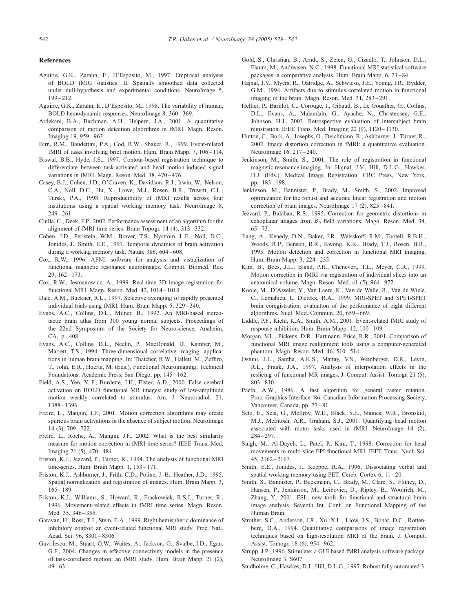#### <span id="page-13-0"></span>References

- Aguirre, G.K., Zarahn, E., D'Esposito, M., 1997. Empirical analyses of BOLD fMRI statistics: II. Spatially smoothed data collected under null-hypothesis and experimental conditions. NeuroImage 5,  $199 - 212$ .
- Aguirre, G.K., Zarahn, E., D'Esposito, M., 1998. The variability of human, BOLD hemodynamic responses. NeuroImage 8, 360 – 369.
- Ardekani, B.A., Bachman, A.H., Helpern, J.A., 2001. A quantitative comparison of motion detection algorithms in fMRI. Magn. Reson. Imaging 19, 959 – 963.
- Birn, R.M., Bandettini, P.A., Cod, R.W., Shaker, R., 1999. Event-related fMRI of tasks involving brief motion. Hum. Brain Mapp. 7, 106-114.
- Biswal, B.B., Hyde, J.S., 1997. Contour-based registration technique to differentiate between task-activated and head motion-induced signal variations in fMRI. Magn. Reson. Med. 38, 470-476.
- Casey, B.J., Cohen, J.D., O'Craven, K., Davidson, R.J., Irwin, W., Nelson, C.A., Noll, D.C., Hu, X., Lowe, M.J., Rosen, B.R., Truwitt, C.L., Turski, P.A., 1998. Reproducibility of fMRI results across four institutions using a spatial working memory task. NeuroImage 8, 249 – 261.
- Ciulla, C., Deek, F.P., 2002. Performance assessment of an algorithm for the alignment of fMRI time series. Brain Topogr. 14 (4), 313 – 332.
- Cohen, J.D., Perlstein, W.M., Braver, T.S., Nystrom, L.E., Noll, D.C., Jonides, J., Smith, E.E., 1997. Temporal dynamics of brain activation during a working memory task. Nature 386, 604-608.
- Cox, R.W., 1996. AFNI: software for analysis and visualization of functional magnetic resonance neuroimages. Comput. Biomed. Res.  $29, 162 - 173.$
- Cox, R.W., Jesmanowicz, A., 1999. Real-time 3D image registration for functional MRI. Magn. Reson. Med. 42, 1014 – 1018.
- Dale, A.M., Buckner, R.L., 1997. Selective averaging of rapidly presented individual trials using fMRI. Hum. Brain Mapp. 5, 329 – 340.
- Evans, A.C., Collins, D.L., Milner, B., 1992. An MRI-based stereotactic brain atlas from 300 young normal subjects. Proceedings of the 22nd Symposium of the Society for Neuroscience, Anaheim, CA, p. 408.
- Evans, A.C., Collins, D.L., Neelin, P., MacDonald, D., Kamber, M., Marrett, T.S., 1994. Three-dimensional correlative imaging: applications in human brain mapping. In: Thatcher, R.W., Hallett, M., Zeffiro, T., John, E.R., Huerta, M. (Eds.), Functional Neuroimaging: Technical Foundations. Academic Press, San Diego, pp. 145 – 162.
- Field, A.S., Yen, Y.-F., Burdette, J.H., Elster, A.D., 2000. False cerebral activation on BOLD functional MR images: study of low-amplitude motion weakly correlated to stimulus. Am. J. Neuroradiol. 21, 1388 – 1396.
- Freire, L., Mangin, J.F., 2001. Motion correction algorithms may create spurious brain activations in the absence of subject motion. NeuroImage 14 (3), 709 – 722.
- Freire, L., Roche, A., Mangin, J.F., 2002. What is the best similarity measure for motion correction in fMRI time series? IEEE Trans. Med. Imaging 21 (5), 470 – 484.
- Friston, K.J., Jezzard, P., Turner, R., 1994. The analysis of functional MRI time-series. Hum. Brain Mapp. 1, 153-171.
- Friston, K.J., Ashburner, J., Frith, C.D., Poline, J.-B., Heather, J.D., 1995. Spatial normalization and registration of images. Hum. Brain Mapp. 3,  $165 - 189$
- Friston, K.J., Williams, S., Howard, R., Frackowiak, R.S.J., Turner, R., 1996. Movement-related effects in fMRI time series. Magn. Reson. Med. 35, 346–355.
- Garavan, H., Ross, T.J., Stein, E.A., 1999. Right hemispheric dominance of inhibitory control: an event-related functional MRI study. Proc. Natl. Acad. Sci. 96, 8301 – 8306.
- Gavrilescu, M., Stuart, G.W., Waites, A., Jackson, G., Svalbe, I.D., Egan, G.F., 2004. Changes in effective connectivity models in the presence of task-correlated motion: an fMRI study. Hum. Brain Mapp. 21 (2),  $49 - 63$ .
- Gold, S., Christian, B., Arndt, S., Zeien, G., Cizadlo, T., Johnson, D.L., Flaum, M., Andreasen, N.C., 1998. Functional MRI statistical software packages: a comparative analysis. Hum. Brain Mapp. 6, 73 – 84.
- Hajnal, J.V., Myers, R., Oatridge, A., Schwieso, J.E., Young, I.R., Bydder, G.M., 1994. Artifacts due to stimulus correlated motion in functional imaging of the brain. Magn. Reson. Med. 31, 283-291.
- Hellier, P., Barillot, C., Corouge, I., Gibaud, B., Le Goualher, G., Collins, D.L., Evans, A., Malandaln, G., Ayache, N., Christensen, G.E., Johnson, H.J., 2003. Retrospective evaluation of intersubject brain registration. IEEE Trans. Med. Imaging 22 (9), 1120 – 1130.
- Hutton, C., Bork, A., Josephs, O., Deichmann, R., Ashburner, J., Turner, R., 2002. Image distortion correction in fMRI: a quantitative evaluation. NeuroImage 16, 217 – 240.
- Jenkinson, M., Smith, S., 2001. The role of registration in functional magnetic resonance imaging. In: Hajnal, J.V., Hill, D.L.G., Hawkes, D.J. (Eds.), Medical Image Registration. CRC Press, New York, pp. 183 – 198.
- Jenkinson, M., Bannister, P., Brady, M., Smith, S., 2002. Improved optimization for the robust and accurate linear registration and motion correction of brain images. NeuroImage 17 (2), 825 – 841.
- Jezzard, P., Balaban, R.S., 1995. Correction for geometric distortions in echoplanar images from  $B_0$  field variations. Magn. Reson. Med. 34,  $65 - 73$
- Jiang, A., Kenedy, D.N., Baker, J.R., Weisskoff, R.M., Tootell, R.B.H., Woods, R.P., Benson, R.R., Kwong, K.K., Brady, T.J., Rosen, B.R., 1995. Motion detection and correction in functional MRI imaging. Hum. Brain Mapp. 3, 224-235.
- Kim, B., Boes, J.L., Bland, P.H., Chenevert, T.L., Meyer, C.R., 1999. Motion correction in fMRI via registration of individual slices into an anatomical volume. Magn. Reson. Med. 41 (5), 964 – 972.
- Koole, M., D'Asseler, Y., Van Laere, K., Van de Walle, R., Van de Wiele, C., Lemahieu, I., Dierckx, R.A., 1999. MRI-SPET and SPET-SPET brain coregistration: evaluation of the performance of eight different algorithms. Nucl. Med. Commun. 20, 659 – 669.
- Liddle, P.F., Kiehl, K.A., Smith, A.M., 2001. Event-related fMRI study of response inhibition. Hum. Brain Mapp. 12, 100-109.
- Morgan, V.L., Pickens, D.R., Hartmann, Price, R.R., 2001. Comparison of functional MRI image realignment tools using a computer-generated phantom. Magn. Reson. Med. 46, 510-514.
- Ostuni, J.L., Santha, A.K.S., Mattay, V.S., Weinberger, D.R., Levin, R.L., Frank, J.A., 1997. Analysis of interpolation effects in the reslicing of functional MR images. J. Comput. Assist. Tomogr. 21 (5),  $803 - 810$ .
- Paeth, A.W., 1986. A fast algorithm for general raster rotation. Proc. Graphics Interface '86. Canadian Information Processing Society, Vancouver, Canada, pp. 77-81.
- Seto, E., Sela, G., McIlroy, W.E., Black, S.E., Staines, W.R., Bronskill, M.J., McIntosh, A.R., Graham, S.J., 2001. Quantifying head motion associated with motor tasks used in fMRI. NeuroImage 14 (2),  $284 - 297$ .
- Singh, M., Al-Dayeh, L., Patel, P., Kim, T., 1998. Correction for head movements in multi-slice EPI functional MRI. IEEE Trans. Nucl. Sci. 45, 2162 – 2167.
- Smith, E.E., Jonides, J., Koeppe, R.A., 1996. Dissociating verbal and spatial working memory using PET. Cereb. Cortex 6, 11-20.
- Smith, S., Bannister, P., Beckmann, C., Brady, M., Clare, S., Flitney, D., Hansen, P., Jenkinson, M., Leibovici, D., Ripley, B., Woolrich, M., Zhang, Y., 2001. FSL: new tools for functional and structural brain image analysis. Seventh Int. Conf. on Functional Mapping of the Human Brain.
- Strother, S.C., Anderson, J.R., Xu, X.L., Liow, J.S., Bonar, D.C., Rottenberg, D.A., 1994. Quantitative comparisons of image registration techniques based on high-resolution MRI of the brain. J. Comput. Assist. Tomogr. 18 (6), 954 – 962.
- Strupp, J.P., 1996. Stimulate: a GUI based fMRI analysis software package. NeuroImage 3, S607.
- Studholme, C., Hawkes, D.J., Hill, D.L.G., 1997. Robust fully automated 3-